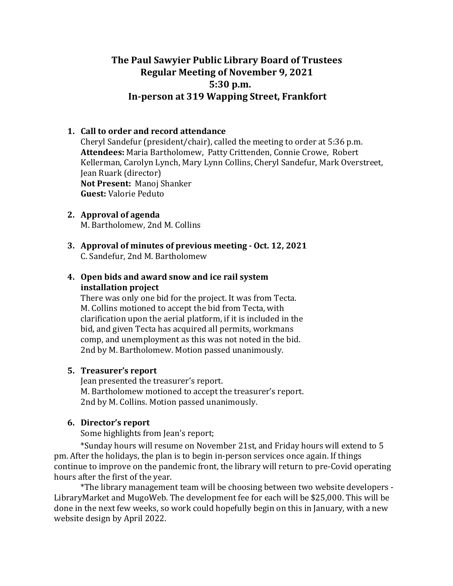# **The Paul Sawyier Public Library Board of Trustees Regular Meeting of November 9, 2021 5:30 p.m.**  In-person at 319 Wapping Street, Frankfort

# **1. Call to order and record attendance**

Cheryl Sandefur (president/chair), called the meeting to order at  $5:36$  p.m. Attendees: Maria Bartholomew, Patty Crittenden, Connie Crowe, Robert Kellerman, Carolyn Lynch, Mary Lynn Collins, Cheryl Sandefur, Mark Overstreet, Jean Ruark (director) **Not Present: Manoi Shanker Guest:** Valorie Peduto

- **2. Approval** of agenda M. Bartholomew, 2nd M. Collins
- **3.** Approval of minutes of previous meeting Oct. 12, 2021 C. Sandefur, 2nd M. Bartholomew

# **4. Open bids and award snow and ice rail system installation project**

There was only one bid for the project. It was from Tecta. M. Collins motioned to accept the bid from Tecta, with clarification upon the aerial platform, if it is included in the bid, and given Tecta has acquired all permits, workmans comp, and unemployment as this was not noted in the bid. 2nd by M. Bartholomew. Motion passed unanimously.

# **5.** Treasurer's report

Jean presented the treasurer's report. M. Bartholomew motioned to accept the treasurer's report. 2nd by M. Collins. Motion passed unanimously.

# **6.** Director's report

Some highlights from Jean's report;

\*Sunday hours will resume on November 21st, and Friday hours will extend to 5 pm. After the holidays, the plan is to begin in-person services once again. If things continue to improve on the pandemic front, the library will return to pre-Covid operating hours after the first of the vear.

\*The library management team will be choosing between two website developers -LibraryMarket and MugoWeb. The development fee for each will be \$25,000. This will be done in the next few weeks, so work could hopefully begin on this in January, with a new website design by April 2022.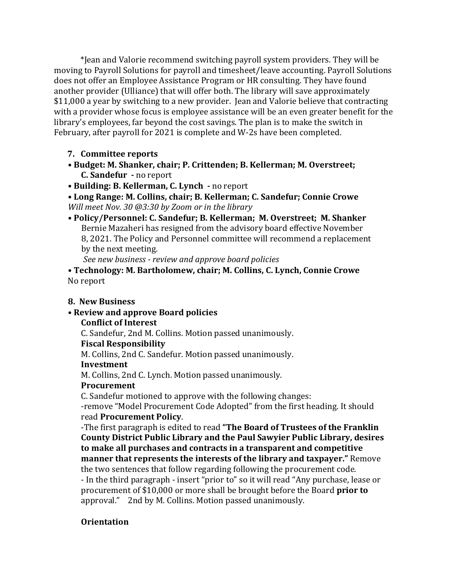\*Jean and Valorie recommend switching payroll system providers. They will be moving to Payroll Solutions for payroll and timesheet/leave accounting. Payroll Solutions does not offer an Employee Assistance Program or HR consulting. They have found another provider (Ulliance) that will offer both. The library will save approximately \$11,000 a year by switching to a new provider. Jean and Valorie believe that contracting with a provider whose focus is employee assistance will be an even greater benefit for the library's employees, far beyond the cost savings. The plan is to make the switch in February, after payroll for 2021 is complete and W-2s have been completed.

# **7. Committee reports**

- Budget: M. Shanker, chair; P. Crittenden; B. Kellerman; M. Overstreet; **C.** Sandefur - no report
- Building: B. Kellerman, C. Lynch no report

• Long Range: M. Collins, chair; B. Kellerman; C. Sandefur; Connie Crowe *Will meet Nov.* 30 @3:30 by Zoom or in the library

• Policy/Personnel: C. Sandefur; B. Kellerman; M. Overstreet; M. Shanker Bernie Mazaheri has resigned from the advisory board effective November 8, 2021. The Policy and Personnel committee will recommend a replacement by the next meeting.

*See new business - review and approve board policies* 

• Technology: M. Bartholomew, chair; M. Collins, C. Lynch, Connie Crowe No report

#### **8. New Business**

#### **• Review and approve Board policies**

# **Conflict of Interest**

C. Sandefur, 2nd M. Collins. Motion passed unanimously.

## **Fiscal Responsibility**

M. Collins, 2nd C. Sandefur. Motion passed unanimously.

#### **Investment**

M. Collins, 2nd C. Lynch. Motion passed unanimously.

# **Procurement**

C. Sandefur motioned to approve with the following changes:

-remove "Model Procurement Code Adopted" from the first heading. It should read **Procurement Policy**. 

-The first paragraph is edited to read "The Board of Trustees of the Franklin **County District Public Library and the Paul Sawyier Public Library, desires** to make all purchases and contracts in a transparent and competitive **manner that represents the interests of the library and taxpayer."** Remove the two sentences that follow regarding following the procurement code.

- In the third paragraph - insert "prior to" so it will read "Any purchase, lease or procurement of \$10,000 or more shall be brought before the Board prior to approval." 2nd by M. Collins. Motion passed unanimously.

# **Orientation**